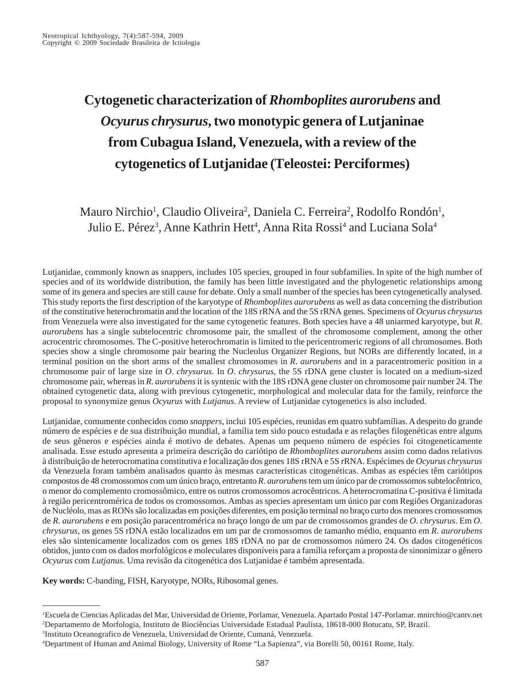# **Cytogenetic characterization of** *Rhomboplites aurorubens* **and** *Ocyurus chrysurus***, two monotypic genera of Lutjaninae from Cubagua Island, Venezuela, with a review of the cytogenetics of Lutjanidae (Teleostei: Perciformes)**

Mauro Nirchio<sup>1</sup>, Claudio Oliveira<sup>2</sup>, Daniela C. Ferreira<sup>2</sup>, Rodolfo Rondón<sup>1</sup>, Julio E. Pérez<sup>3</sup>, Anne Kathrin Hett<sup>4</sup>, Anna Rita Rossi<sup>4</sup> and Luciana Sola<sup>4</sup>

Lutjanidae, commonly known as snappers, includes 105 species, grouped in four subfamilies. In spite of the high number of species and of its worldwide distribution, the family has been little investigated and the phylogenetic relationships among some of its genera and species are still cause for debate. Only a small number of the species has been cytogenetically analysed. This study reports the first description of the karyotype of *Rhomboplites aurorubens* as well as data concerning the distribution of the constitutive heterochromatin and the location of the 18S rRNA and the 5S rRNA genes. Specimens of *Ocyurus chrysurus* from Venezuela were also investigated for the same cytogenetic features. Both species have a 48 uniarmed karyotype, but *R*. *aurorubens* has a single subtelocentric chromosome pair, the smallest of the chromosome complement, among the other acrocentric chromosomes. The C-positive heterochromatin is limited to the pericentromeric regions of all chromosomes. Both species show a single chromosome pair bearing the Nucleolus Organizer Regions, but NORs are differently located, in a terminal position on the short arms of the smallest chromosomes in *R*. *aurorubens* and in a paracentromeric position in a chromosome pair of large size in *O*. *chrysurus*. In *O*. *chrysurus*, the 5S rDNA gene cluster is located on a medium-sized chromosome pair, whereas in *R*. *aurorubens* it is syntenic with the 18S rDNA gene cluster on chromosome pair number 24. The obtained cytogenetic data, along with previous cytogenetic, morphological and molecular data for the family, reinforce the proposal to synonymize genus *Ocyurus* with *Lutjanus*. A review of Lutjanidae cytogenetics is also included.

Lutjanidae, comumente conhecidos como *snappers*, inclui 105 espécies, reunidas em quatro subfamílias. A despeito do grande número de espécies e de sua distribuição mundial, a família tem sido pouco estudada e as relações filogenéticas entre alguns de seus gêneros e espécies ainda é motivo de debates. Apenas um pequeno número de espécies foi citogeneticamente analisada. Esse estudo apresenta a primeira descrição do cariótipo de *Rhomboplites aurorubens* assim como dados relativos à distribuição de heterocromatina constitutiva e localização dos genes 18S rRNA e 5S rRNA. Espécimes de *Ocyurus chrysurus* da Venezuela foram também analisados quanto às mesmas características citogenéticas. Ambas as espécies têm cariótipos compostos de 48 cromossomos com um único braço, entretanto *R*. *aurorubens* tem um único par de cromossomos subtelocêntrico, o menor do complemento cromossômico, entre os outros cromossomos acrocêntricos. A heterocromatina C-positiva é limitada à região pericentromérica de todos os cromossomos. Ambas as species apresentam um único par com Regiões Organizadoras de Nucléolo, mas as RONs são localizadas em posições diferentes, em posição terminal no braço curto dos menores cromossomos de *R*. *aurorubens* e em posição paracentromérica no braço longo de um par de cromossomos grandes de *O*. *chrysurus*. Em *O*. *chrysurus*, os genes 5S rDNA estão localizados em um par de cromossomos de tamanho médio, enquanto em *R*. *aurorubens* eles são sintenicamente localizados com os genes 18S rDNA no par de cromossomos número 24. Os dados citogenéticos obtidos, junto com os dados morfológicos e moleculares disponíveis para a família reforçam a proposta de sinonimizar o gênero *Ocyurus* com *Lutjanus*. Uma revisão da citogenética dos Lutjanidae é também apresentada.

**Key words:** C-banding, FISH, Karyotype, NORs, Ribosomal genes.

3 Instituto Oceanografico de Venezuela, Universidad de Oriente, Cumaná, Venezuela.

<sup>1</sup> Escuela de Ciencias Aplicadas del Mar, Universidad de Oriente, Porlamar, Venezuela. Apartado Postal 147-Porlamar. mnirchio@cantv.net 2 Departamento de Morfologia, Instituto de Biociências Universidade Estadual Paulista, 18618-000 Botucatu, SP, Brazil.

<sup>4</sup> Department of Human and Animal Biology, University of Rome "La Sapienza", via Borelli 50, 00161 Rome, Italy.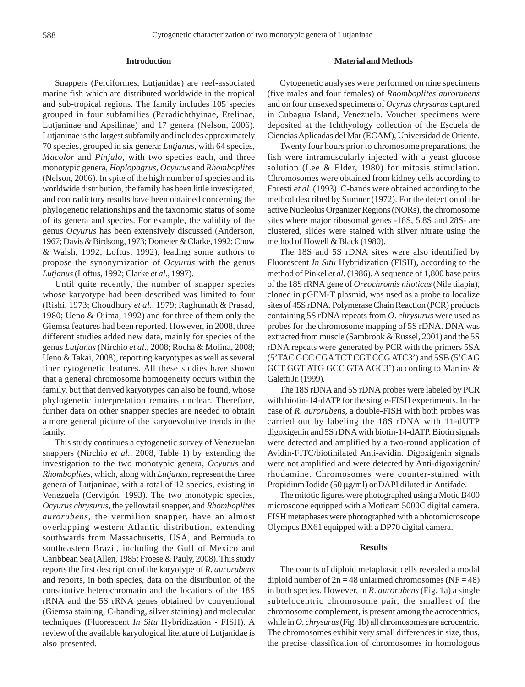#### **Introduction**

Snappers (Perciformes, Lutjanidae) are reef-associated marine fish which are distributed worldwide in the tropical and sub-tropical regions. The family includes 105 species grouped in four subfamilies (Paradichthyinae, Etelinae, Lutjaninae and Apsilinae) and 17 genera (Nelson, 2006). Lutjaninae is the largest subfamily and includes approximately 70 species, grouped in six genera: *Lutjanus*, with 64 species, *Macolor* and *Pinjalo*, with two species each, and three monotypic genera, *Hoplopagrus*, *Ocyurus* and *Rhomboplites* (Nelson, 2006). In spite of the high number of species and its worldwide distribution, the family has been little investigated, and contradictory results have been obtained concerning the phylogenetic relationships and the taxonomic status of some of its genera and species. For example, the validity of the genus *Ocyurus* has been extensively discussed (Anderson, 1967; Davis *&* Birdsong, 1973; Domeier *&* Clarke, 1992; Chow *&* Walsh, 1992; Loftus, 1992), leading some authors to propose the synonymization of *Ocyurus* with the genus *Lutjanus* (Loftus, 1992; Clarke *et al*., 1997).

Until quite recently, the number of snapper species whose karyotype had been described was limited to four (Rishi, 1973; Choudhury *et al*., 1979; Raghunath & Prasad, 1980; Ueno & Ojima, 1992) and for three of them only the Giemsa features had been reported. However, in 2008, three different studies added new data, mainly for species of the genus *Lutjanus* (Nirchio *et al*., 2008; Rocha & Molina, 2008; Ueno & Takai, 2008), reporting karyotypes as well as several finer cytogenetic features. All these studies have shown that a general chromosome homogeneity occurs within the family, but that derived karyotypes can also be found, whose phylogenetic interpretation remains unclear. Therefore, further data on other snapper species are needed to obtain a more general picture of the karyoevolutive trends in the family.

This study continues a cytogenetic survey of Venezuelan snappers (Nirchio *et al*., 2008, Table 1) by extending the investigation to the two monotypic genera, *Ocyurus* and *Rhomboplites*, which, along with *Lutjanus*, represent the three genera of Lutjaninae, with a total of 12 species, existing in Venezuela (Cervigón, 1993). The two monotypic species, *Ocyurus chrysurus*, the yellowtail snapper, and *Rhomboplites aurorubens*, the vermilion snapper, have an almost overlapping western Atlantic distribution, extending southwards from Massachusetts, USA, and Bermuda to southeastern Brazil, including the Gulf of Mexico and Caribbean Sea (Allen, 1985; Froese & Pauly, 2008). This study reports the first description of the karyotype of *R*. *aurorubens* and reports, in both species, data on the distribution of the constitutive heterochromatin and the locations of the 18S rRNA and the 5S rRNA genes obtained by conventional (Giemsa staining, C-banding, silver staining) and molecular techniques (Fluorescent *In Situ* Hybridization - FISH). A review of the available karyological literature of Lutjanidae is also presented.

#### **Material and Methods**

Cytogenetic analyses were performed on nine specimens (five males and four females) of *Rhomboplites aurorubens* and on four unsexed specimens of *Ocyrus chrysurus* captured in Cubagua Island, Venezuela. Voucher specimens were deposited at the Ichthyology collection of the Escuela de Ciencias Aplicadas del Mar (ECAM), Universidad de Oriente.

Twenty four hours prior to chromosome preparations, the fish were intramuscularly injected with a yeast glucose solution (Lee & Elder, 1980) for mitosis stimulation. Chromosomes were obtained from kidney cells according to Foresti *et al*. (1993). C-bands were obtained according to the method described by Sumner (1972). For the detection of the active Nucleolus Organizer Regions (NORs), the chromosome sites where major ribosomal genes -18S, 5.8S and 28S- are clustered, slides were stained with silver nitrate using the method of Howell & Black (1980).

The 18S and 5S rDNA sites were also identified by Fluorescent *In Situ* Hybridization (FISH), according to the method of Pinkel *et al*. (1986). A sequence of 1,800 base pairs of the 18S rRNA gene of *Oreochromis niloticus* (Nile tilapia), cloned in pGEM-T plasmid, was used as a probe to localize sites of 45S rDNA. Polymerase Chain Reaction (PCR) products containing 5S rDNA repeats from *O*. *chrysurus* were used as probes for the chromosome mapping of 5S rDNA. DNA was extracted from muscle (Sambrook & Russel, 2001) and the 5S rDNA repeats were generated by PCR with the primers 5SA (5'TAC GCC CGA TCT CGT CCG ATC3') and 5SB (5'CAG GCT GGT ATG GCC GTA AGC3') according to Martins & Galetti Jr. (1999).

The 18S rDNA and 5S rDNA probes were labeled by PCR with biotin-14-dATP for the single-FISH experiments. In the case of *R*. *aurorubens*, a double-FISH with both probes was carried out by labeling the 18S rDNA with 11-dUTP digoxigenin and 5S rDNA with biotin-14-dATP. Biotin signals were detected and amplified by a two-round application of Avidin-FITC/biotinilated Anti-avidin. Digoxigenin signals were not amplified and were detected by Anti-digoxigenin/ rhodamine. Chromosomes were counter-stained with Propidium Iodide (50 µg/ml) or DAPI diluted in Antifade.

The mitotic figures were photographed using a Motic B400 microscope equipped with a Moticam 5000C digital camera. FISH metaphases were photographed with a photomicroscope Olympus BX61 equipped with a DP70 digital camera.

## **Results**

The counts of diploid metaphasic cells revealed a modal diploid number of  $2n = 48$  uniarmed chromosomes (NF = 48) in both species. However, in *R*. *aurorubens* (Fig. 1a) a single subtelocentric chromosome pair, the smallest of the chromosome complement, is present among the acrocentrics, while in *O*. *chrysurus* (Fig. 1b) all chromosomes are acrocentric. The chromosomes exhibit very small differences in size, thus, the precise classification of chromosomes in homologous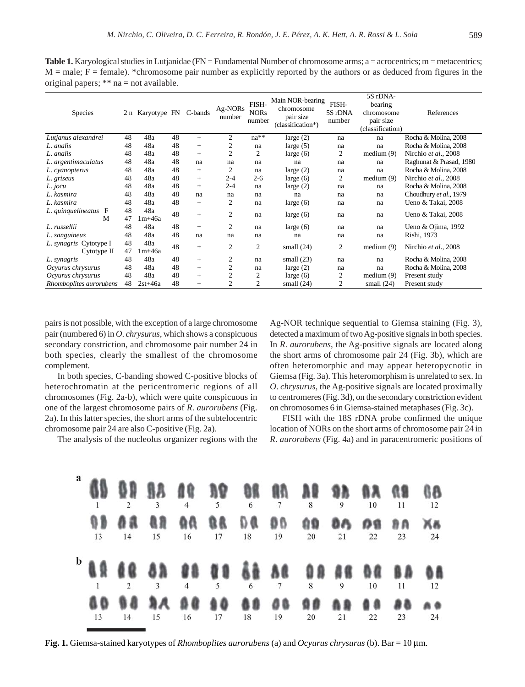**Table 1.** Karyological studies in Lutjanidae (FN = Fundamental Number of chromosome arms; a = acrocentrics; m = metacentrics;  $M =$  male;  $F =$  female). \*chromosome pair number as explicitly reported by the authors or as deduced from figures in the original papers; \*\* na = not available.

| <b>Species</b>                        |          | 2 n Karyotype FN C-bands |    |     | Ag-NORs<br>number | FISH-<br><b>NORs</b><br>number | Main NOR-bearing<br>chromosome<br>pair size<br>(classification*) | FISH-<br>5S rDNA<br>number | 5S rDNA-<br>bearing<br>chromosome<br>pair size<br>(classification) | References              |
|---------------------------------------|----------|--------------------------|----|-----|-------------------|--------------------------------|------------------------------------------------------------------|----------------------------|--------------------------------------------------------------------|-------------------------|
| Lutjanus alexandrei                   | 48       | 48a                      | 48 | $+$ | 2                 | $na**$                         | large $(2)$                                                      | na                         | na                                                                 | Rocha & Molina, 2008    |
| L. analis                             | 48       | 48a                      | 48 | $+$ | 2                 | na                             | large $(5)$                                                      | na                         | na                                                                 | Rocha & Molina, 2008    |
| L. analis                             | 48       | 48a                      | 48 | $+$ | $\overline{2}$    | 2                              | large $(6)$                                                      | 2                          | median(9)                                                          | Nirchio et al., 2008    |
| L. argentimaculatus                   | 48       | 48a                      | 48 | na  | na                | na                             | na                                                               | na                         | na                                                                 | Raghunat & Prasad, 1980 |
| L. cyanopterus                        | 48       | 48a                      | 48 | $+$ | 2                 | na                             | large $(2)$                                                      | na                         | na                                                                 | Rocha & Molina, 2008    |
| L. griseus                            | 48       | 48a                      | 48 | $+$ | $2 - 4$           | $2 - 6$                        | large $(6)$                                                      | 2                          | medium $(9)$                                                       | Nirchio et al., 2008    |
| L. jocu                               | 48       | 48a                      | 48 | $+$ | $2 - 4$           | na                             | large $(2)$                                                      | na                         | na                                                                 | Rocha & Molina, 2008    |
| L. kasmira                            | 48       | 48a                      | 48 | na  | na                | na                             | na                                                               | na                         | na                                                                 | Choudhury et al., 1979  |
| L. kasmira                            | 48       | 48a                      | 48 | $+$ | 2                 | na                             | large $(6)$                                                      | na                         | na                                                                 | Ueno & Takai, 2008      |
| L. quinquelineatus<br>F<br>M          | 48<br>47 | 48a<br>$1m+46a$          | 48 | $+$ | $\overline{2}$    | na                             | large $(6)$                                                      | na                         | na                                                                 | Ueno & Takai, 2008      |
| L. russellii                          | 48       | 48a                      | 48 | $+$ | $\overline{2}$    | na                             | large $(6)$                                                      | na                         | na                                                                 | Ueno & Ojima, 1992      |
| L. sanguineus                         | 48       | 48a                      | 48 | na  | na                | na                             | na                                                               | na                         | na                                                                 | Rishi, 1973             |
| L. synagris Cytotype I<br>Cytotype II | 48<br>47 | 48a<br>$1m+46a$          | 48 | $+$ | 2                 | 2                              | small $(24)$                                                     | $\overline{2}$             | medium $(9)$                                                       | Nirchio et al., 2008    |
| L. synagris                           | 48       | 48a                      | 48 | $+$ | $\overline{c}$    | na                             | small $(23)$                                                     | na                         | na                                                                 | Rocha & Molina, 2008    |
| Ocyurus chrysurus                     | 48       | 48a                      | 48 | $+$ | $\overline{c}$    | na                             | large $(2)$                                                      | na                         | na                                                                 | Rocha & Molina, 2008    |
| Ocyurus chrysurus                     | 48       | 48a                      | 48 | $+$ | $\overline{2}$    | 2                              | large $(6)$                                                      | 2                          | medium $(9)$                                                       | Present study           |
| Rhomboplites aurorubens               | 48       | $2st+46a$                | 48 | $+$ | $\overline{2}$    | $\mathfrak{2}$                 | small $(24)$                                                     | 2                          | small $(24)$                                                       | Present study           |

pairs is not possible, with the exception of a large chromosome pair (numbered 6) in *O*. *chrysurus*, which shows a conspicuous secondary constriction, and chromosome pair number 24 in both species, clearly the smallest of the chromosome complement.

In both species, C-banding showed C-positive blocks of heterochromatin at the pericentromeric regions of all chromosomes (Fig. 2a-b), which were quite conspicuous in one of the largest chromosome pairs of *R*. *aurorubens* (Fig. 2a). In this latter species, the short arms of the subtelocentric chromosome pair 24 are also C-positive (Fig. 2a).

The analysis of the nucleolus organizer regions with the

Ag-NOR technique sequential to Giemsa staining (Fig. 3), detected a maximum of two Ag-positive signals in both species. In *R*. *aurorubens*, the Ag-positive signals are located along the short arms of chromosome pair 24 (Fig. 3b), which are often heteromorphic and may appear heteropycnotic in Giemsa (Fig. 3a). This heteromorphism is unrelated to sex. In *O*. *chrysurus,* the Ag-positive signals are located proximally to centromeres (Fig. 3d), on the secondary constriction evident on chromosomes 6 in Giemsa-stained metaphases (Fig. 3c).

FISH with the 18S rDNA probe confirmed the unique location of NORs on the short arms of chromosome pair 24 in *R*. *aurorubens* (Fig. 4a) and in paracentromeric positions of



**Fig. 1.** Giemsa-stained karyotypes of *Rhomboplites aurorubens* (a) and *Ocyurus chrysurus* (b). Bar = 10 µm.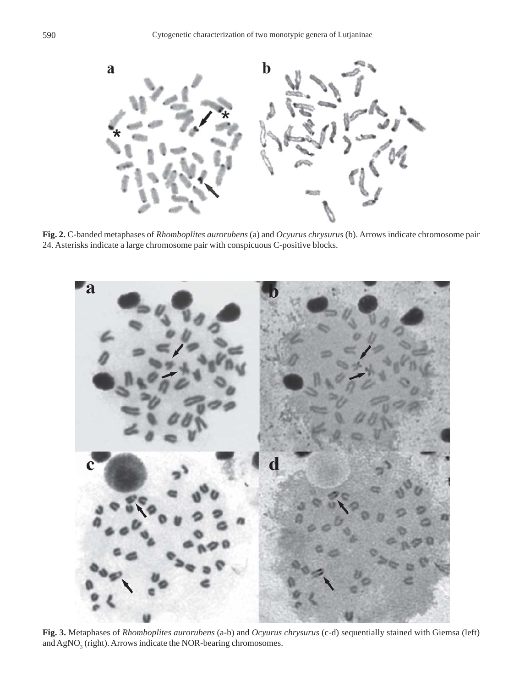

**Fig. 2.** C-banded metaphases of *Rhomboplites aurorubens* (a) and *Ocyurus chrysurus* (b). Arrows indicate chromosome pair 24. Asterisks indicate a large chromosome pair with conspicuous C-positive blocks.



**Fig. 3.** Metaphases of *Rhomboplites aurorubens* (a-b) and *Ocyurus chrysurus* (c-d) sequentially stained with Giemsa (left) and  $\text{AgNO}_3$  (right). Arrows indicate the NOR-bearing chromosomes.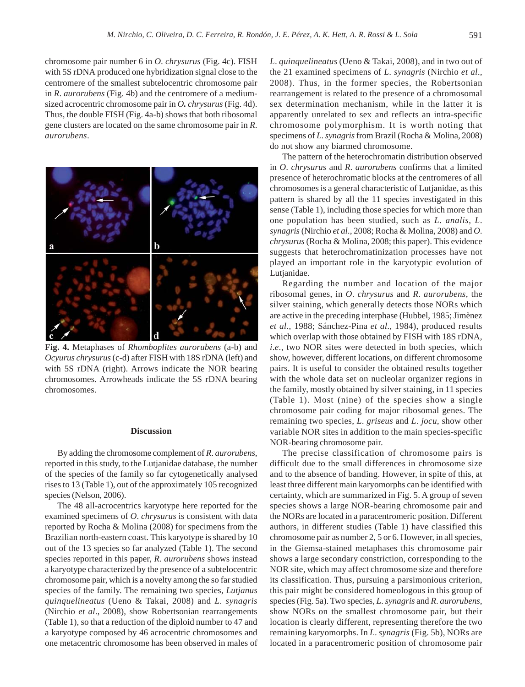chromosome pair number 6 in *O*. *chrysurus* (Fig. 4c). FISH with 5S rDNA produced one hybridization signal close to the centromere of the smallest subtelocentric chromosome pair in *R*. *aurorubens* (Fig. 4b) and the centromere of a mediumsized acrocentric chromosome pair in *O. chrysurus* (Fig. 4d). Thus, the double FISH (Fig. 4a-b) shows that both ribosomal gene clusters are located on the same chromosome pair in *R*. *aurorubens*.



**Fig. 4.** Metaphases of *Rhomboplites aurorubens* (a-b) and *Ocyurus chrysurus* (c-d) after FISH with 18S rDNA (left) and with 5S rDNA (right). Arrows indicate the NOR bearing chromosomes. Arrowheads indicate the 5S rDNA bearing chromosomes.

### **Discussion**

By adding the chromosome complement of *R*. *aurorubens*, reported in this study, to the Lutjanidae database, the number of the species of the family so far cytogenetically analysed rises to 13 (Table 1), out of the approximately 105 recognized species (Nelson, 2006).

The 48 all-acrocentrics karyotype here reported for the examined specimens of *O*. *chrysurus* is consistent with data reported by Rocha & Molina (2008) for specimens from the Brazilian north-eastern coast. This karyotype is shared by 10 out of the 13 species so far analyzed (Table 1). The second species reported in this paper, *R*. *aurorubens* shows instead a karyotype characterized by the presence of a subtelocentric chromosome pair, which is a novelty among the so far studied species of the family. The remaining two species, *Lutjanus quinquelineatus* (Ueno & Takai, 2008) and *L*. *synagris* (Nirchio *et al*., 2008), show Robertsonian rearrangements (Table 1), so that a reduction of the diploid number to 47 and a karyotype composed by 46 acrocentric chromosomes and one metacentric chromosome has been observed in males of *L*. *quinquelineatus* (Ueno & Takai, 2008), and in two out of the 21 examined specimens of *L*. *synagris* (Nirchio *et al*., 2008). Thus, in the former species, the Robertsonian rearrangement is related to the presence of a chromosomal sex determination mechanism, while in the latter it is apparently unrelated to sex and reflects an intra-specific chromosome polymorphism. It is worth noting that specimens of *L*. *synagris* from Brazil (Rocha & Molina, 2008) do not show any biarmed chromosome.

The pattern of the heterochromatin distribution observed in *O*. *chrysurus* and *R*. *aurorubens* confirms that a limited presence of heterochromatic blocks at the centromeres of all chromosomes is a general characteristic of Lutjanidae, as this pattern is shared by all the 11 species investigated in this sense (Table 1), including those species for which more than one population has been studied, such as *L*. *analis*, *L*. *synagris* (Nirchio *et al*., 2008; Rocha & Molina, 2008) and *O*. *chrysurus* (Rocha & Molina, 2008; this paper). This evidence suggests that heterochromatinization processes have not played an important role in the karyotypic evolution of Lutjanidae.

Regarding the number and location of the major ribosomal genes, in *O*. *chrysurus* and *R*. *aurorubens*, the silver staining, which generally detects those NORs which are active in the preceding interphase (Hubbel, 1985; Jimènez *et al*., 1988; Sánchez-Pina *et al*., 1984), produced results which overlap with those obtained by FISH with 18S rDNA, *i.e.*, two NOR sites were detected in both species, which show, however, different locations, on different chromosome pairs. It is useful to consider the obtained results together with the whole data set on nucleolar organizer regions in the family, mostly obtained by silver staining, in 11 species (Table 1). Most (nine) of the species show a single chromosome pair coding for major ribosomal genes. The remaining two species, *L*. *griseus* and *L*. *jocu*, show other variable NOR sites in addition to the main species-specific NOR-bearing chromosome pair.

The precise classification of chromosome pairs is difficult due to the small differences in chromosome size and to the absence of banding. However, in spite of this, at least three different main karyomorphs can be identified with certainty, which are summarized in Fig. 5. A group of seven species shows a large NOR-bearing chromosome pair and the NORs are located in a paracentromeric position. Different authors, in different studies (Table 1) have classified this chromosome pair as number 2, 5 or 6. However, in all species, in the Giemsa-stained metaphases this chromosome pair shows a large secondary constriction, corresponding to the NOR site, which may affect chromosome size and therefore its classification. Thus, pursuing a parsimonious criterion, this pair might be considered homeologous in this group of species (Fig. 5a). Two species, *L*. *synagris* and *R*. *aurorubens*, show NORs on the smallest chromosome pair, but their location is clearly different, representing therefore the two remaining karyomorphs. In *L*. *synagris* (Fig. 5b), NORs are located in a paracentromeric position of chromosome pair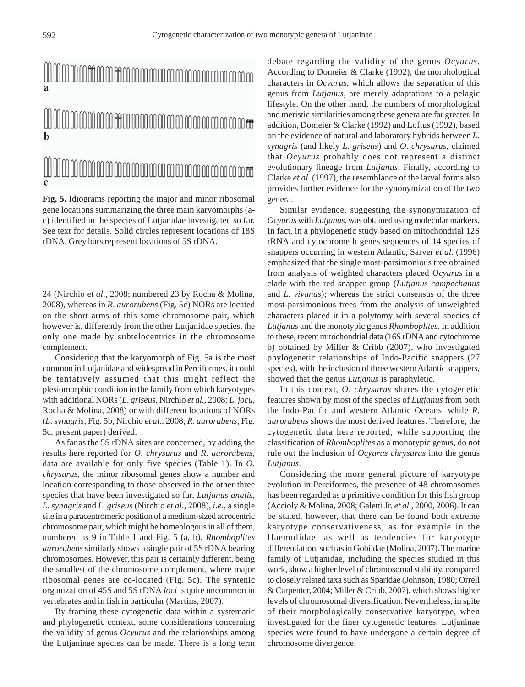# MMMMMMMtHMMMMMMMMMMMM h

**Fig. 5.** Idiograms reporting the major and minor ribosomal gene locations summarizing the three main karyomorphs (ac) identified in the species of Lutjanidae investigated so far. See text for details. Solid circles represent locations of 18S rDNA. Grey bars represent locations of 5S rDNA.

24 (Nirchio et *al*., 2008; numbered 23 by Rocha & Molina, 2008), whereas in *R*. *aurorubens* (Fig. 5c) NORs are located on the short arms of this same chromosome pair, which however is, differently from the other Lutjanidae species, the only one made by subtelocentrics in the chromosome complement.

Considering that the karyomorph of Fig. 5a is the most common in Lutjanidae and widespread in Perciformes, it could be tentatively assumed that this might reflect the plesiomorphic condition in the family from which karyotypes with additional NORs (*L*. *griseus*, Nirchio *et al*., 2008; *L*. *jocu*, Rocha & Molina, 2008) or with different locations of NORs (*L*. *synagris*, Fig. 5b, Nirchio *et al*., 2008; *R*. *aurorubens*, Fig. 5c, present paper) derived.

As far as the 5S rDNA sites are concerned, by adding the results here reported for *O*. *chrysurus* and *R*. *aurorubens*, data are available for only five species (Table 1). In *O*. *chrysurus*, the minor ribosomal genes show a number and location corresponding to those observed in the other three species that have been investigated so far, *Lutjanus analis*, *L*. *synagris* and *L*. *griseus* (Nirchio *et al*., 2008), *i*.*e*., a single site in a paracentromeric position of a medium-sized acrocentric chromosome pair, which might be homeologous in all of them, numbered as 9 in Table 1 and Fig. 5 (a, b). *Rhomboplites aurorubens* similarly shows a single pair of 5S rDNA bearing chromosomes. However, this pair is certainly different, being the smallest of the chromosome complement, where major ribosomal genes are co-located (Fig. 5c). The syntenic organization of 45S and 5S rDNA *loci* is quite uncommon in vertebrates and in fish in particular (Martins, 2007).

By framing these cytogenetic data within a systematic and phylogenetic context, some considerations concerning the validity of genus *Ocyurus* and the relationships among the Lutjaninae species can be made. There is a long term

debate regarding the validity of the genus *Ocyurus*. According to Domeier & Clarke (1992), the morphological characters in *Ocyurus*, which allows the separation of this genus from *Lutjanus*, are merely adaptations to a pelagic lifestyle. On the other hand, the numbers of morphological and meristic similarities among these genera are far greater. In addition, Domeier & Clarke (1992) and Loftus (1992), based on the evidence of natural and laboratory hybrids between *L*. *synagris* (and likely *L*. *griseus*) and *O*. *chrysurus*, claimed that *Ocyurus* probably does not represent a distinct evolutionary lineage from *Lutjanus*. Finally, according to Clarke *et al*. (1997), the resemblance of the larval forms also provides further evidence for the synonymization of the two genera.

Similar evidence, suggesting the synonymization of *Ocyurus* with *Lutjanus*, was obtained using molecular markers. In fact, in a phylogenetic study based on mitochondrial 12S rRNA and cytochrome b genes sequences of 14 species of snappers occurring in western Atlantic, Sarver *et al*. (1996) emphasized that the single most-parsimonious tree obtained from analysis of weighted characters placed *Ocyurus* in a clade with the red snapper group (*Lutjanus campechanus* and *L*. *vivanus*); whereas the strict consensus of the three most-parsimonious trees from the analysis of unweighted characters placed it in a polytomy with several species of *Lutjanus* and the monotypic genus *Rhomboplites*. In addition to these, recent mitochondrial data (16S rDNA and cytochrome b) obtained by Miller & Cribb (2007), who investigated phylogenetic relationships of Indo-Pacific snappers (27 species), with the inclusion of three western Atlantic snappers, showed that the genus *Lutjanus* is paraphyletic.

In this context, *O*. *chrysurus* shares the cytogenetic features shown by most of the species of *Lutjanus* from both the Indo-Pacific and western Atlantic Oceans, while *R*. *aurorubens* shows the most derived features. Therefore, the cytogenetic data here reported, while supporting the classification of *Rhomboplites* as a monotypic genus, do not rule out the inclusion of *Ocyurus chrysurus* into the genus *Lutjanus*.

Considering the more general picture of karyotype evolution in Perciformes, the presence of 48 chromosomes has been regarded as a primitive condition for this fish group (Accioly & Molina, 2008; Galetti Jr. *et al*., 2000, 2006). It can be stated, however, that there can be found both extreme karyotype conservativeness, as for example in the Haemulidae, as well as tendencies for karyotype differentiation, such as in Gobiidae (Molina, 2007). The marine family of Lutjanidae, including the species studied in this work, show a higher level of chromosomal stability, compared to closely related taxa such as Sparidae (Johnson, 1980; Orrell & Carpenter, 2004; Miller & Cribb, 2007), which shows higher levels of chromosomal diversification. Nevertheless, in spite of their morphologically conservative karyotype, when investigated for the finer cytogenetic features, Lutjaninae species were found to have undergone a certain degree of chromosome divergence.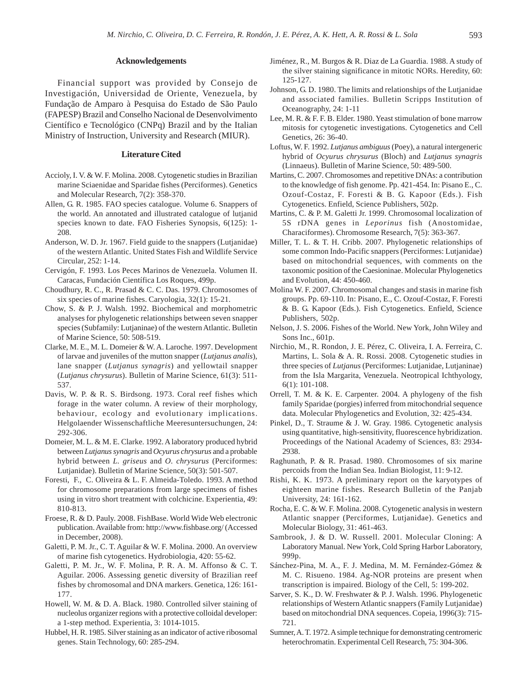#### **Acknowledgements**

Financial support was provided by Consejo de Investigación, Universidad de Oriente, Venezuela, by Fundação de Amparo à Pesquisa do Estado de São Paulo (FAPESP) Brazil and Conselho Nacional de Desenvolvimento Científico e Tecnológico (CNPq) Brazil and by the Italian Ministry of Instruction, University and Research (MIUR).

### **Literature Cited**

- Accioly, I. V. & W. F. Molina. 2008. Cytogenetic studies in Brazilian marine Sciaenidae and Sparidae fishes (Perciformes). Genetics and Molecular Research, 7(2): 358-370.
- Allen, G. R. 1985. FAO species catalogue. Volume 6. Snappers of the world. An annotated and illustrated catalogue of lutjanid species known to date. FAO Fisheries Synopsis, 6(125): 1- 208.
- Anderson, W. D. Jr. 1967. Field guide to the snappers (Lutjanidae) of the western Atlantic. United States Fish and Wildlife Service Circular, 252: 1-14.
- Cervigón, F. 1993. Los Peces Marinos de Venezuela. Volumen II. Caracas, Fundación Científica Los Roques, 499p.
- Choudhury, R. C., R. Prasad & C. C. Das. 1979. Chromosomes of six species of marine fishes. Caryologia, 32(1): 15-21.
- Chow, S. & P. J. Walsh. 1992. Biochemical and morphometric analyses for phylogenetic relationships between seven snapper species (Subfamily: Lutjaninae) of the western Atlantic. Bulletin of Marine Science, 50: 508-519.
- Clarke, M. E., M. L. Domeier & W. A. Laroche. 1997. Development of larvae and juveniles of the mutton snapper (*Lutjanus analis*), lane snapper (*Lutjanus synagris*) and yellowtail snapper (*Lutjanus chrysurus*). Bulletin of Marine Science, 61(3): 511- 537.
- Davis, W. P. & R. S. Birdsong. 1973. Coral reef fishes which forage in the water column. A review of their morphology, behaviour, ecology and evolutionary implications. Helgolaender Wissenschaftliche Meeresuntersuchungen, 24: 292-306.
- Domeier, M. L. & M. E. Clarke. 1992. A laboratory produced hybrid between *Lutjanus synagris* and *Ocyurus chrysurus* and a probable hybrid between *L. griseus* and *O. chrysurus* (Perciformes: Lutjanidae). Bulletin of Marine Science, 50(3): 501-507.
- Foresti, F., C. Oliveira & L. F. Almeida-Toledo. 1993. A method for chromosome preparations from large specimens of fishes using in vitro short treatment with colchicine. Experientia, 49: 810-813.
- Froese, R. & D. Pauly. 2008. FishBase. World Wide Web electronic publication. Available from: http://www.fishbase.org/ (Accessed in December, 2008).
- Galetti, P. M. Jr., C. T. Aguilar & W. F. Molina. 2000. An overview of marine fish cytogenetics. Hydrobiologia, 420: 55-62.
- Galetti, P. M. Jr., W. F. Molina, P. R. A. M. Affonso & C. T. Aguilar. 2006. Assessing genetic diversity of Brazilian reef fishes by chromosomal and DNA markers. Genetica, 126: 161- 177.
- Howell, W. M. & D. A. Black. 1980. Controlled silver staining of nucleolus organizer regions with a protective colloidal developer: a 1-step method. Experientia, 3: 1014-1015.
- Hubbel, H. R. 1985. Silver staining as an indicator of active ribosomal genes. Stain Technology, 60: 285-294.
- Jiménez, R., M. Burgos & R. Diaz de La Guardia. 1988. A study of the silver staining significance in mitotic NORs. Heredity, 60: 125-127.
- Johnson, G. D. 1980. The limits and relationships of the Lutjanidae and associated families. Bulletin Scripps Institution of Oceanography, 24: 1-11
- Lee, M. R. & F. F. B. Elder. 1980. Yeast stimulation of bone marrow mitosis for cytogenetic investigations. Cytogenetics and Cell Genetics*,* 26: 36-40.
- Loftus, W. F. 1992. *Lutjanus ambiguus* (Poey), a natural intergeneric hybrid of *Ocyurus chrysurus* (Bloch) and *Lutjanus synagris* (Linnaeus). Bulletin of Marine Science, 50: 489-500.
- Martins, C. 2007. Chromosomes and repetitive DNAs: a contribution to the knowledge of fish genome. Pp. 421-454. In: Pisano E., C. Ozouf-Costaz, F. Foresti & B. G. Kapoor (Eds.). Fish Cytogenetics. Enfield, Science Publishers, 502p.
- Martins, C. & P. M. Galetti Jr. 1999. Chromosomal localization of 5S rDNA genes in *Leporinus* fish (Anostomidae, Characiformes). Chromosome Research, 7(5): 363-367.
- Miller, T. L. & T. H. Cribb. 2007. Phylogenetic relationships of some common Indo-Pacific snappers (Perciformes: Lutjanidae) based on mitochondrial sequences, with comments on the taxonomic position of the Caesioninae. Molecular Phylogenetics and Evolution, 44: 450-460.
- Molina W. F. 2007. Chromosomal changes and stasis in marine fish groups. Pp. 69-110. In: Pisano, E., C. Ozouf-Costaz, F. Foresti & B. G. Kapoor (Eds.). Fish Cytogenetics. Enfield, Science Publishers, 502p.
- Nelson, J. S. 2006. Fishes of the World. New York, John Wiley and Sons Inc., 601p.
- Nirchio, M., R. Rondon, J. E. Pérez, C. Oliveira, I. A. Ferreira, C. Martins, L. Sola & A. R. Rossi. 2008. Cytogenetic studies in three species of *Lutjanus* (Perciformes: Lutjanidae, Lutjaninae) from the Isla Margarita, Venezuela. Neotropical Ichthyology, 6(1): 101-108.
- Orrell, T. M. & K. E. Carpenter. 2004. A phylogeny of the fish family Sparidae (porgies) inferred from mitochondrial sequence data. Molecular Phylogenetics and Evolution, 32: 425-434.
- Pinkel, D., T. Straume & J. W. Gray. 1986. Cytogenetic analysis using quantitative, high-sensitivity, fluorescence hybridization. Proceedings of the National Academy of Sciences, 83: 2934- 2938.
- Raghunath, P. & R. Prasad. 1980. Chromosomes of six marine percoids from the Indian Sea. Indian Biologist, 11: 9-12.
- Rishi, K. K. 1973. A preliminary report on the karyotypes of eighteen marine fishes. Research Bulletin of the Panjab University, 24: 161-162.
- Rocha, E. C. & W. F. Molina. 2008. Cytogenetic analysis in western Atlantic snapper (Perciformes, Lutjanidae). Genetics and Molecular Biology, 31: 461-463.
- Sambrook, J. & D. W. Russell. 2001. Molecular Cloning: A Laboratory Manual. New York, Cold Spring Harbor Laboratory, 999p.
- Sánchez-Pina, M. A., F. J. Medina, M. M. Fernández-Gómez & M. C. Risueno. 1984. Ag-NOR proteins are present when transcription is impaired. Biology of the Cell, 5: 199-202.
- Sarver, S. K., D. W. Freshwater & P. J. Walsh. 1996. Phylogenetic relationships of Western Atlantic snappers (Family Lutjanidae) based on mitochondrial DNA sequences. Copeia, 1996(3): 715- 721.
- Sumner, A. T. 1972. A simple technique for demonstrating centromeric heterochromatin. Experimental Cell Research, 75: 304-306.